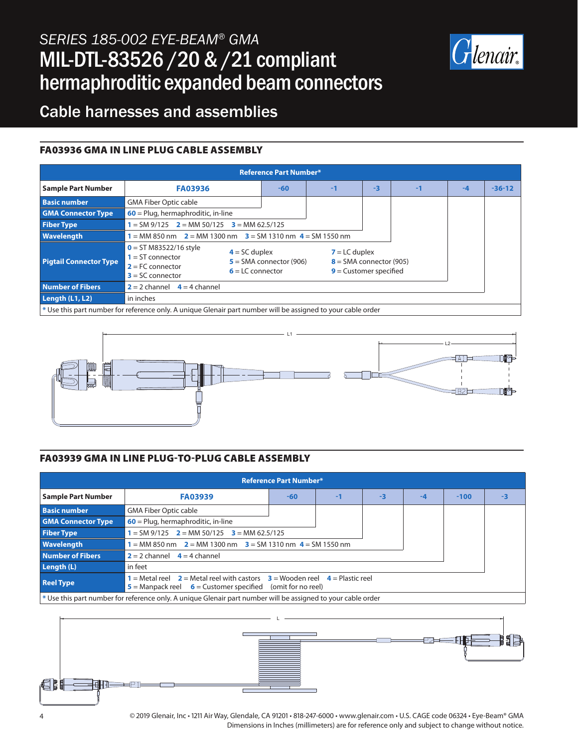# *SERIES 185-002 EYE-BEAM® GMA* MIL-DTL-83526 /20 & /21 compliant hermaphroditic expanded beam connectors



## Cable harnesses and assemblies

#### FA03936 GMA IN LINE PLUG CABLE ASSEMBLY

| <b>Reference Part Number*</b>                                                                                |                                                                                            |                                                                    |    |                                                                          |      |      |          |  |
|--------------------------------------------------------------------------------------------------------------|--------------------------------------------------------------------------------------------|--------------------------------------------------------------------|----|--------------------------------------------------------------------------|------|------|----------|--|
| <b>Sample Part Number</b>                                                                                    | <b>FA03936</b>                                                                             | $-60$                                                              | -1 | $-3$                                                                     | $-1$ | $-4$ | $-36-12$ |  |
| <b>Basic number</b>                                                                                          | <b>GMA Fiber Optic cable</b>                                                               |                                                                    |    |                                                                          |      |      |          |  |
| <b>GMA Connector Type</b>                                                                                    | $60$ = Plug, hermaphroditic, in-line                                                       |                                                                    |    |                                                                          |      |      |          |  |
| <b>Fiber Type</b>                                                                                            | $1 = SM 9/125$ $2 = MM 50/125$ $3 = MM 62.5/125$                                           |                                                                    |    |                                                                          |      |      |          |  |
| <b>Wavelength</b>                                                                                            | $1 = MM 850$ nm $2 = MM 1300$ nm $3 = SM 1310$ nm $4 = SM 1550$ nm                         |                                                                    |    |                                                                          |      |      |          |  |
| <b>Pigtail Connector Type</b>                                                                                | $0 = ST M83522/16$ style<br>$1 = ST$ connector<br>$2 = FC$ connector<br>$3 = SC$ connector | $4 = SC$ duplex<br>$5 = SMA$ connector (906)<br>$6 = LC$ connector |    | $7 = LC$ duplex<br>$8 = SMA$ connector (905)<br>$9$ = Customer specified |      |      |          |  |
| <b>Number of Fibers</b>                                                                                      | $2 = 2$ channel $4 = 4$ channel                                                            |                                                                    |    |                                                                          |      |      |          |  |
| Length (L1, L2)                                                                                              | in inches                                                                                  |                                                                    |    |                                                                          |      |      |          |  |
| * Use this part number for reference only. A unique Glenair part number will be assigned to your cable order |                                                                                            |                                                                    |    |                                                                          |      |      |          |  |



#### FA03939 GMA IN LINE PLUG-TO-PLUG CABLE ASSEMBLY

| <b>Reference Part Number*</b>                                                                                  |                                                                                                                                                        |       |    |      |    |        |      |  |
|----------------------------------------------------------------------------------------------------------------|--------------------------------------------------------------------------------------------------------------------------------------------------------|-------|----|------|----|--------|------|--|
| <b>Sample Part Number</b>                                                                                      | <b>FA03939</b>                                                                                                                                         | $-60$ | -1 | $-3$ | -4 | $-100$ | $-3$ |  |
| <b>Basic number</b>                                                                                            | <b>GMA Fiber Optic cable</b>                                                                                                                           |       |    |      |    |        |      |  |
| <b>GMA Connector Type</b>                                                                                      | $60$ = Plug, hermaphroditic, in-line                                                                                                                   |       |    |      |    |        |      |  |
| <b>Fiber Type</b>                                                                                              | $1 = SM 9/125$ $2 = MM 50/125$ $3 = MM 62.5/125$                                                                                                       |       |    |      |    |        |      |  |
| <b>Wavelength</b>                                                                                              | 1 = MM 850 nm $2$ = MM 1300 nm $3$ = SM 1310 nm $4$ = SM 1550 nm                                                                                       |       |    |      |    |        |      |  |
| Number of Fibers                                                                                               | $2 = 2$ channel $4 = 4$ channel                                                                                                                        |       |    |      |    |        |      |  |
| Length (L)                                                                                                     | in feet                                                                                                                                                |       |    |      |    |        |      |  |
| <b>Reel Type</b>                                                                                               | 1 = Metal reel $2$ = Metal reel with castors $3$ = Wooden reel $4$ = Plastic reel<br>$5$ = Manpack reel $6$ = Customer specified<br>(omit for no reel) |       |    |      |    |        |      |  |
| $*$ Use this part number for reference only. A unique Glenair part number will be assigned to your cable order |                                                                                                                                                        |       |    |      |    |        |      |  |